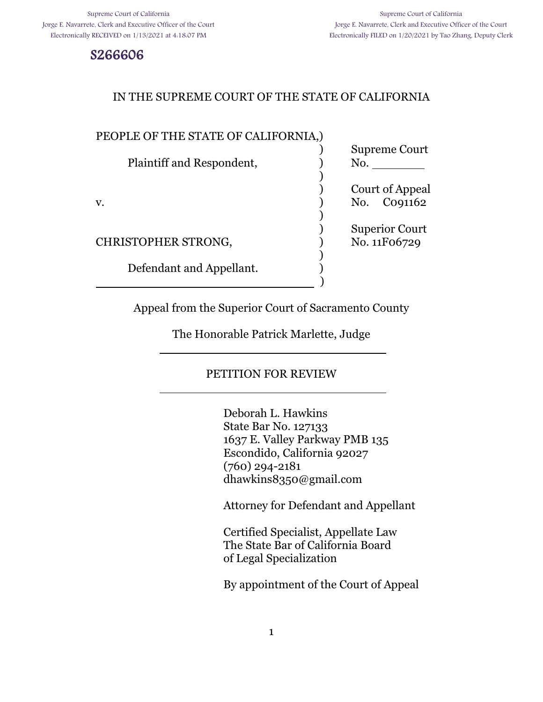S266606

## IN THE SUPREME COURT OF THE STATE OF CALIFORNIA

#### PEOPLE OF THE STATE OF CALIFORNIA,)

l

l

| Plaintiff and Respondent, | Supreme Court<br>No.       |
|---------------------------|----------------------------|
|                           |                            |
|                           | Court of Appeal            |
| v.                        | Co <sub>91162</sub><br>No. |
|                           | <b>Superior Court</b>      |
| CHRISTOPHER STRONG,       | No. 11F06729               |
| Defendant and Appellant.  |                            |
|                           |                            |

Appeal from the Superior Court of Sacramento County

The Honorable Patrick Marlette, Judge

## PETITION FOR REVIEW

Deborah L. Hawkins State Bar No. 127133 1637 E. Valley Parkway PMB 135 Escondido, California 92027 (760) 294-2181 dhawkins8350@gmail.com

Attorney for Defendant and Appellant

Certified Specialist, Appellate Law The State Bar of California Board of Legal Specialization

By appointment of the Court of Appeal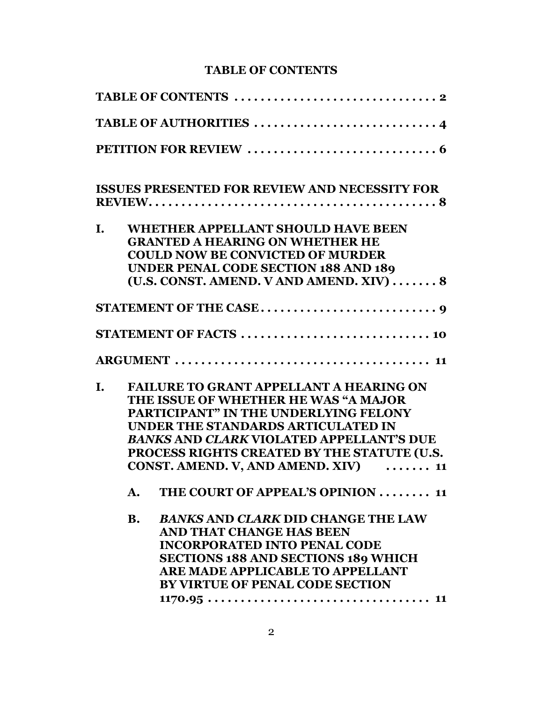## **TABLE OF CONTENTS**

|    |           | <b>ISSUES PRESENTED FOR REVIEW AND NECESSITY FOR</b> |
|----|-----------|------------------------------------------------------|
| I. |           | <b>WHETHER APPELLANT SHOULD HAVE BEEN</b>            |
|    |           | <b>GRANTED A HEARING ON WHETHER HE</b>               |
|    |           | <b>COULD NOW BE CONVICTED OF MURDER</b>              |
|    |           | UNDER PENAL CODE SECTION 188 AND 189                 |
|    |           | (U.S. CONST. AMEND. V AND AMEND. XIV)  8             |
|    |           |                                                      |
|    |           | STATEMENT OF FACTS  10                               |
|    |           |                                                      |
| I. |           | <b>FAILURE TO GRANT APPELLANT A HEARING ON</b>       |
|    |           | THE ISSUE OF WHETHER HE WAS "A MAJOR                 |
|    |           | <b>PARTICIPANT" IN THE UNDERLYING FELONY</b>         |
|    |           | UNDER THE STANDARDS ARTICULATED IN                   |
|    |           | <b>BANKS AND CLARK VIOLATED APPELLANT'S DUE</b>      |
|    |           | PROCESS RIGHTS CREATED BY THE STATUTE (U.S.          |
|    |           | CONST. AMEND. V, AND AMEND. XIV)<br>11               |
|    | A.        | THE COURT OF APPEAL'S OPINION  11                    |
|    | <b>B.</b> | <b>BANKS AND CLARK DID CHANGE THE LAW</b>            |
|    |           | AND THAT CHANGE HAS BEEN                             |
|    |           | <b>INCORPORATED INTO PENAL CODE</b>                  |
|    |           | <b>SECTIONS 188 AND SECTIONS 189 WHICH</b>           |
|    |           | ARE MADE APPLICABLE TO APPELLANT                     |
|    |           | <b>BY VIRTUE OF PENAL CODE SECTION</b>               |
|    |           | $1170.95 11$                                         |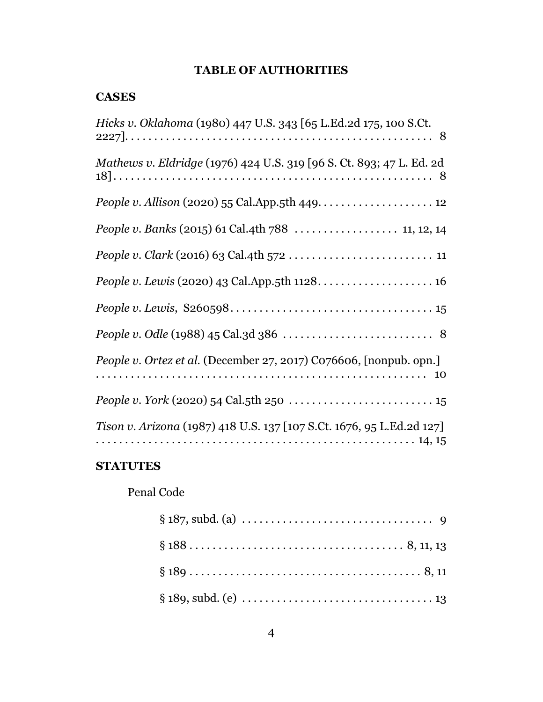# **TABLE OF AUTHORITIES**

## **CASES**

| Hicks v. Oklahoma (1980) 447 U.S. 343 [65 L.Ed.2d 175, 100 S.Ct.      |
|-----------------------------------------------------------------------|
| Mathews v. Eldridge (1976) 424 U.S. 319 [96 S. Ct. 893; 47 L. Ed. 2d  |
| People v. Allison (2020) 55 Cal.App.5th 449. $\dots$ . $\dots$ . 12   |
| People v. Banks (2015) 61 Cal.4th 788  11, 12, 14                     |
|                                                                       |
|                                                                       |
|                                                                       |
|                                                                       |
| People v. Ortez et al. (December 27, 2017) C076606, [nonpub. opn.]    |
|                                                                       |
| Tison v. Arizona (1987) 418 U.S. 137 [107 S.Ct. 1676, 95 L.Ed.2d 127] |

# **STATUTES**

# Penal Code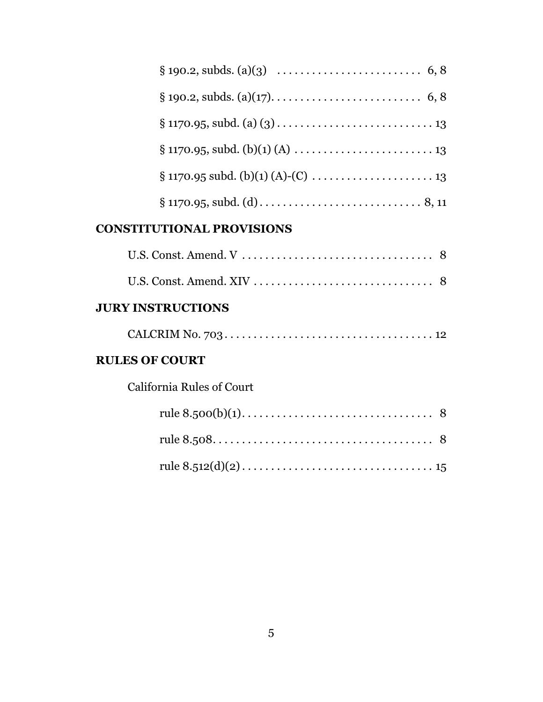| $\S 1170.95 \text{ subd. (b)(1) (A)-(C) \dots \dots \dots \dots \dots \dots \dots 13}$ |
|----------------------------------------------------------------------------------------|
|                                                                                        |

## **CONSTITUTIONAL PROVISIONS**

## **JURY INSTRUCTIONS**

|--|--|

## **RULES OF COURT**

California Rules of Court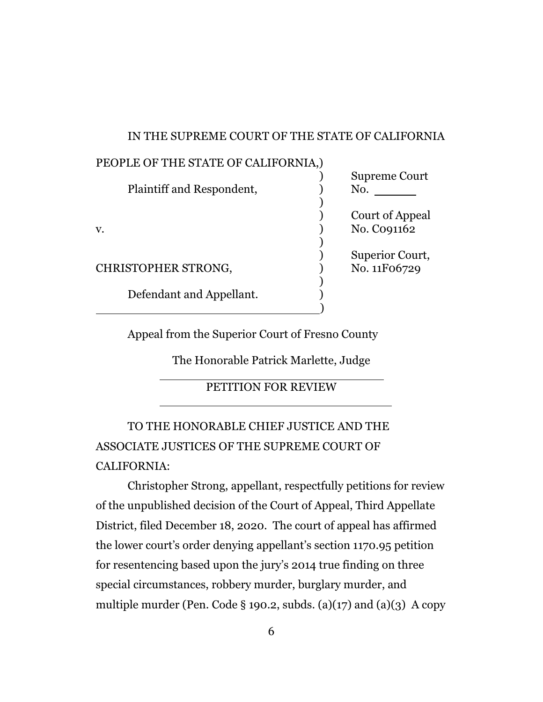#### IN THE SUPREME COURT OF THE STATE OF CALIFORNIA

| PEOPLE OF THE STATE OF CALIFORNIA,) |                      |
|-------------------------------------|----------------------|
|                                     | <b>Supreme Court</b> |
| Plaintiff and Respondent,           | No.                  |
|                                     |                      |
|                                     | Court of Appeal      |
| V.                                  | No. Co91162          |
|                                     |                      |
|                                     | Superior Court,      |
| <b>CHRISTOPHER STRONG,</b>          | No. 11F06729         |
|                                     |                      |
| Defendant and Appellant.            |                      |
|                                     |                      |

Appeal from the Superior Court of Fresno County

The Honorable Patrick Marlette, Judge

## PETITION FOR REVIEW

TO THE HONORABLE CHIEF JUSTICE AND THE ASSOCIATE JUSTICES OF THE SUPREME COURT OF CALIFORNIA:

l

l

Christopher Strong, appellant, respectfully petitions for review of the unpublished decision of the Court of Appeal, Third Appellate District, filed December 18, 2020. The court of appeal has affirmed the lower court's order denying appellant's section 1170.95 petition for resentencing based upon the jury's 2014 true finding on three special circumstances, robbery murder, burglary murder, and multiple murder (Pen. Code § 190.2, subds. (a)(17) and (a)(3) A copy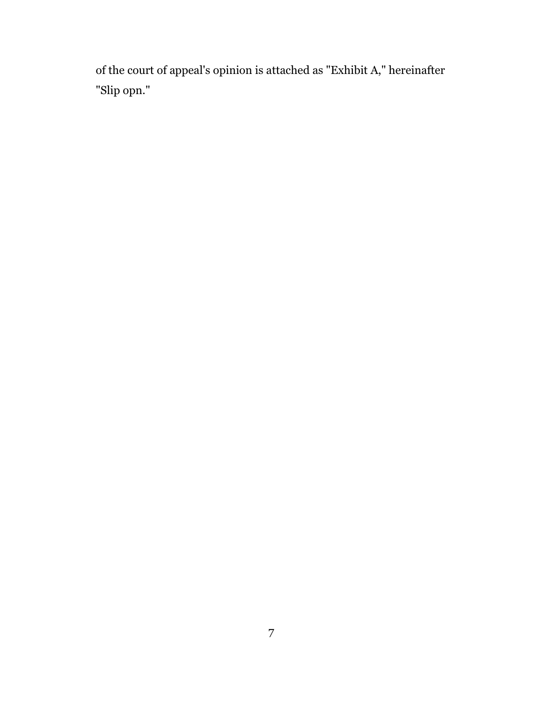of the court of appeal's opinion is attached as "Exhibit A," hereinafter "Slip opn."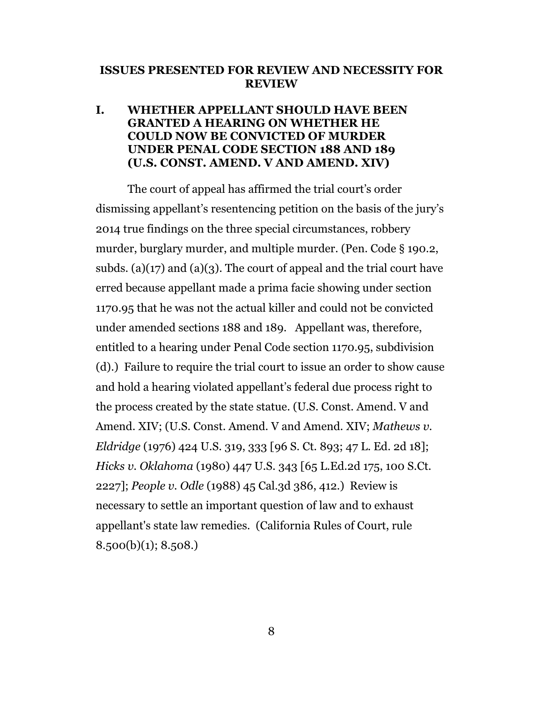#### **ISSUES PRESENTED FOR REVIEW AND NECESSITY FOR REVIEW**

## **I. WHETHER APPELLANT SHOULD HAVE BEEN GRANTED A HEARING ON WHETHER HE COULD NOW BE CONVICTED OF MURDER UNDER PENAL CODE SECTION 188 AND 189 (U.S. CONST. AMEND. V AND AMEND. XIV)**

The court of appeal has affirmed the trial court's order dismissing appellant's resentencing petition on the basis of the jury's 2014 true findings on the three special circumstances, robbery murder, burglary murder, and multiple murder. (Pen. Code § 190.2, subds. (a)(17) and (a)(3). The court of appeal and the trial court have erred because appellant made a prima facie showing under section 1170.95 that he was not the actual killer and could not be convicted under amended sections 188 and 189. Appellant was, therefore, entitled to a hearing under Penal Code section 1170.95, subdivision (d).) Failure to require the trial court to issue an order to show cause and hold a hearing violated appellant's federal due process right to the process created by the state statue. (U.S. Const. Amend. V and Amend. XIV; (U.S. Const. Amend. V and Amend. XIV; *Mathews v. Eldridge* (1976) 424 U.S. 319, 333 [96 S. Ct. 893; 47 L. Ed. 2d 18]; *Hicks v. Oklahoma* (1980) 447 U.S. 343 [65 L.Ed.2d 175, 100 S.Ct. 2227]; *People v. Odle* (1988) 45 Cal.3d 386, 412.) Review is necessary to settle an important question of law and to exhaust appellant's state law remedies. (California Rules of Court, rule 8.500(b)(1); 8.508.)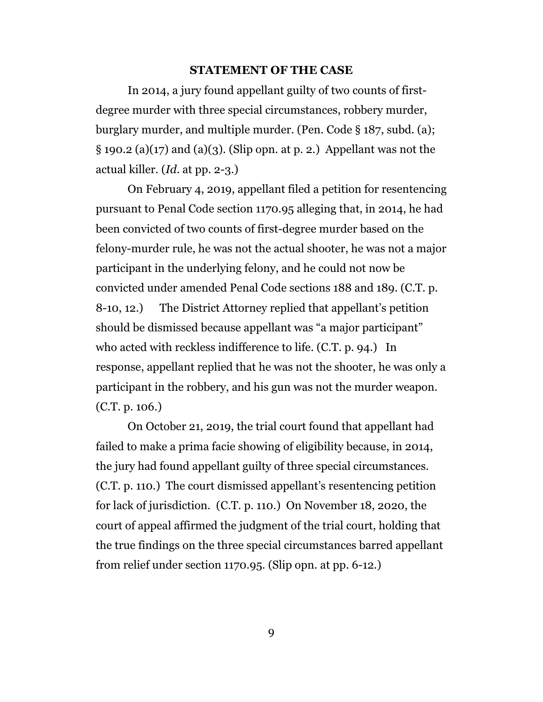#### **STATEMENT OF THE CASE**

In 2014, a jury found appellant guilty of two counts of firstdegree murder with three special circumstances, robbery murder, burglary murder, and multiple murder. (Pen. Code § 187, subd. (a);  $\S$  190.2 (a)(17) and (a)(3). (Slip opn. at p. 2.) Appellant was not the actual killer. (*Id*. at pp. 2-3.)

On February 4, 2019, appellant filed a petition for resentencing pursuant to Penal Code section 1170.95 alleging that, in 2014, he had been convicted of two counts of first-degree murder based on the felony-murder rule, he was not the actual shooter, he was not a major participant in the underlying felony, and he could not now be convicted under amended Penal Code sections 188 and 189. (C.T. p. 8-10, 12.) The District Attorney replied that appellant's petition should be dismissed because appellant was "a major participant" who acted with reckless indifference to life. (C.T. p. 94.) In response, appellant replied that he was not the shooter, he was only a participant in the robbery, and his gun was not the murder weapon. (C.T. p. 106.)

On October 21, 2019, the trial court found that appellant had failed to make a prima facie showing of eligibility because, in 2014, the jury had found appellant guilty of three special circumstances. (C.T. p. 110.) The court dismissed appellant's resentencing petition for lack of jurisdiction. (C.T. p. 110.) On November 18, 2020, the court of appeal affirmed the judgment of the trial court, holding that the true findings on the three special circumstances barred appellant from relief under section 1170.95. (Slip opn. at pp. 6-12.)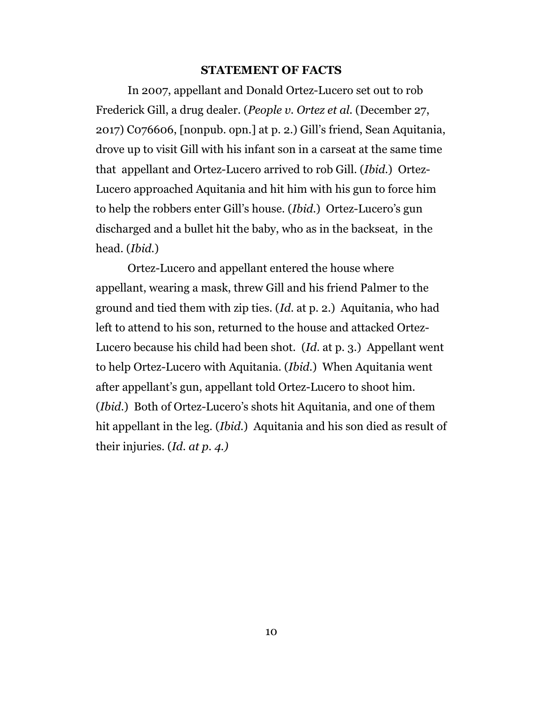#### **STATEMENT OF FACTS**

In 2007, appellant and Donald Ortez-Lucero set out to rob Frederick Gill, a drug dealer. (*People v. Ortez et al.* (December 27, 2017) C076606, [nonpub. opn.] at p. 2.) Gill's friend, Sean Aquitania, drove up to visit Gill with his infant son in a carseat at the same time that appellant and Ortez-Lucero arrived to rob Gill. (*Ibid.*) Ortez-Lucero approached Aquitania and hit him with his gun to force him to help the robbers enter Gill's house. (*Ibid*.) Ortez-Lucero's gun discharged and a bullet hit the baby, who as in the backseat, in the head. (*Ibid.*)

Ortez-Lucero and appellant entered the house where appellant, wearing a mask, threw Gill and his friend Palmer to the ground and tied them with zip ties. (*Id*. at p. 2.) Aquitania, who had left to attend to his son, returned to the house and attacked Ortez-Lucero because his child had been shot. (*Id*. at p. 3.) Appellant went to help Ortez-Lucero with Aquitania. (*Ibid*.) When Aquitania went after appellant's gun, appellant told Ortez-Lucero to shoot him. (*Ibid*.) Both of Ortez-Lucero's shots hit Aquitania, and one of them hit appellant in the leg. (*Ibid.*) Aquitania and his son died as result of their injuries. (*Id. at p. 4.)*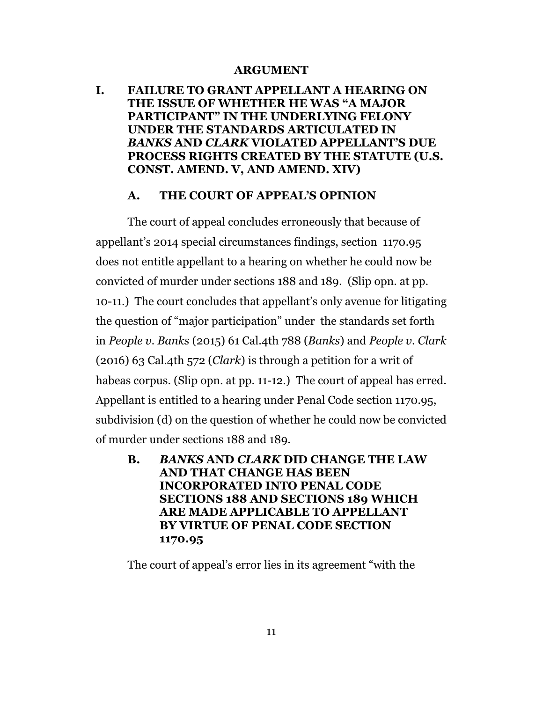#### **ARGUMENT**

**I. FAILURE TO GRANT APPELLANT A HEARING ON THE ISSUE OF WHETHER HE WAS "A MAJOR PARTICIPANT" IN THE UNDERLYING FELONY UNDER THE STANDARDS ARTICULATED IN**  *BANKS* **AND** *CLARK* **VIOLATED APPELLANT'S DUE PROCESS RIGHTS CREATED BY THE STATUTE (U.S. CONST. AMEND. V, AND AMEND. XIV)**

#### **A. THE COURT OF APPEAL'S OPINION**

The court of appeal concludes erroneously that because of appellant's 2014 special circumstances findings, section 1170.95 does not entitle appellant to a hearing on whether he could now be convicted of murder under sections 188 and 189. (Slip opn. at pp. 10-11.) The court concludes that appellant's only avenue for litigating the question of "major participation" under the standards set forth in *People v. Banks* (2015) 61 Cal.4th 788 (*Banks*) and *People v. Clark* (2016) 63 Cal.4th 572 (*Clark*) is through a petition for a writ of habeas corpus. (Slip opn. at pp. 11-12.) The court of appeal has erred. Appellant is entitled to a hearing under Penal Code section 1170.95, subdivision (d) on the question of whether he could now be convicted of murder under sections 188 and 189.

**B.** *BANKS* **AND** *CLARK* **DID CHANGE THE LAW AND THAT CHANGE HAS BEEN INCORPORATED INTO PENAL CODE SECTIONS 188 AND SECTIONS 189 WHICH ARE MADE APPLICABLE TO APPELLANT BY VIRTUE OF PENAL CODE SECTION 1170.95**

The court of appeal's error lies in its agreement "with the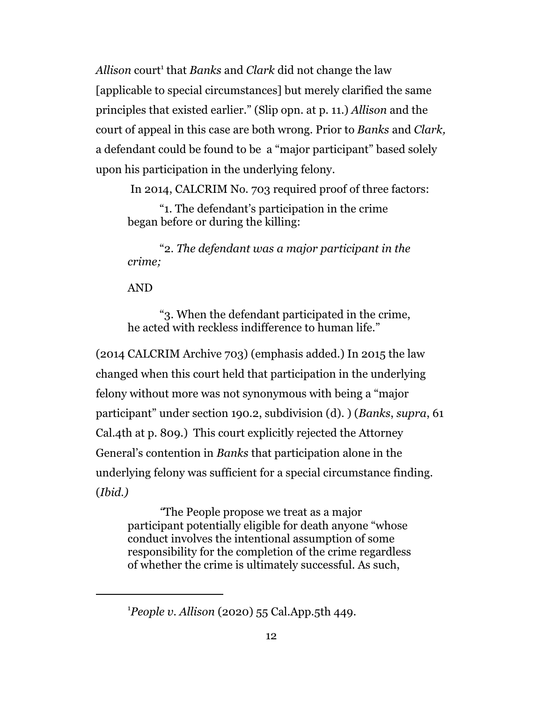Allison court<sup>1</sup> that *Banks* and *Clark* did not change the law [applicable to special circumstances] but merely clarified the same principles that existed earlier." (Slip opn. at p. 11.) *Allison* and the court of appeal in this case are both wrong. Prior to *Banks* and *Clark,* a defendant could be found to be a "major participant" based solely upon his participation in the underlying felony.

In 2014, CALCRIM No. 703 required proof of three factors:

"1. The defendant's participation in the crime began before or during the killing:

"2. *The defendant was a major participant in the crime;*

#### AND

"3. When the defendant participated in the crime, he acted with reckless indifference to human life."

(2014 CALCRIM Archive 703) (emphasis added.) In 2015 the law changed when this court held that participation in the underlying felony without more was not synonymous with being a "major participant" under section 190.2, subdivision (d). ) (*Banks*, *supra*, 61 Cal.4th at p. 809.) This court explicitly rejected the Attorney General's contention in *Banks* that participation alone in the underlying felony was sufficient for a special circumstance finding. (*Ibid.)* 

*"*The People propose we treat as a major participant potentially eligible for death anyone "whose conduct involves the intentional assumption of some responsibility for the completion of the crime regardless of whether the crime is ultimately successful. As such,

<sup>1</sup>*People v. Allison* (2020) 55 Cal.App.5th 449.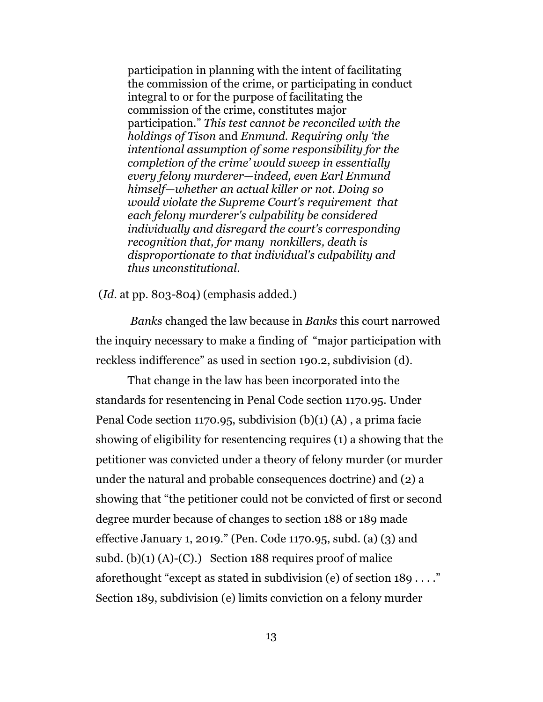participation in planning with the intent of facilitating the commission of the crime, or participating in conduct integral to or for the purpose of facilitating the commission of the crime, constitutes major participation." *This test cannot be reconciled with the holdings of Tison* and *Enmund. Requiring only 'the intentional assumption of some responsibility for the completion of the crime' would sweep in essentially every felony murderer—indeed, even Earl Enmund himself—whether an actual killer or not. Doing so would violate the Supreme Court's requirement that each felony murderer's culpability be considered individually and disregard the court's corresponding recognition that, for many nonkillers, death is disproportionate to that individual's culpability and thus unconstitutional*.

(*Id*. at pp. 803-804) (emphasis added.)

*Banks* changed the law because in *Banks* this court narrowed the inquiry necessary to make a finding of "major participation with reckless indifference" as used in section 190.2, subdivision (d).

That change in the law has been incorporated into the standards for resentencing in Penal Code section 1170.95. Under Penal Code section 1170.95, subdivision  $(b)(1)$   $(A)$ , a prima facie showing of eligibility for resentencing requires (1) a showing that the petitioner was convicted under a theory of felony murder (or murder under the natural and probable consequences doctrine) and (2) a showing that "the petitioner could not be convicted of first or second degree murder because of changes to section 188 or 189 made effective January 1, 2019." (Pen. Code 1170.95, subd. (a) (3) and subd.  $(b)(1)(A)-(C)$ .) Section 188 requires proof of malice aforethought "except as stated in subdivision (e) of section 189 . . . ." Section 189, subdivision (e) limits conviction on a felony murder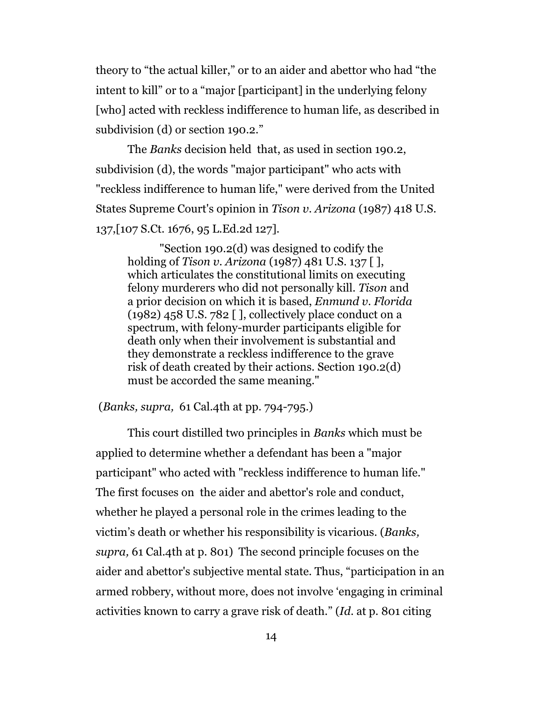theory to "the actual killer," or to an aider and abettor who had "the intent to kill" or to a "major [participant] in the underlying felony [who] acted with reckless indifference to human life, as described in subdivision (d) or section 190.2."

The *Banks* decision held that, as used in section 190.2, subdivision (d), the words "major participant" who acts with "reckless indifference to human life," were derived from the United States Supreme Court's opinion in *Tison v. Arizona* (1987) 418 U.S. 137,[107 S.Ct. 1676, 95 L.Ed.2d 127].

"Section 190.2(d) was designed to codify the holding of *Tison v. Arizona* (1987) 481 U.S. 137 [ ], which articulates the constitutional limits on executing felony murderers who did not personally kill. *Tison* and a prior decision on which it is based, *Enmund v. Florida*  $(1982)$  458 U.S. 782 [], collectively place conduct on a spectrum, with felony-murder participants eligible for death only when their involvement is substantial and they demonstrate a reckless indifference to the grave risk of death created by their actions. Section 190.2(d) must be accorded the same meaning."

(*Banks, supra,* 61 Cal.4th at pp. 794-795.)

This court distilled two principles in *Banks* which must be applied to determine whether a defendant has been a "major participant" who acted with "reckless indifference to human life." The first focuses on the aider and abettor's role and conduct, whether he played a personal role in the crimes leading to the victim's death or whether his responsibility is vicarious. (*Banks, supra,* 61 Cal.4th at p. 801) The second principle focuses on the aider and abettor's subjective mental state. Thus, "participation in an armed robbery, without more, does not involve 'engaging in criminal activities known to carry a grave risk of death." (*Id*. at p. 801 citing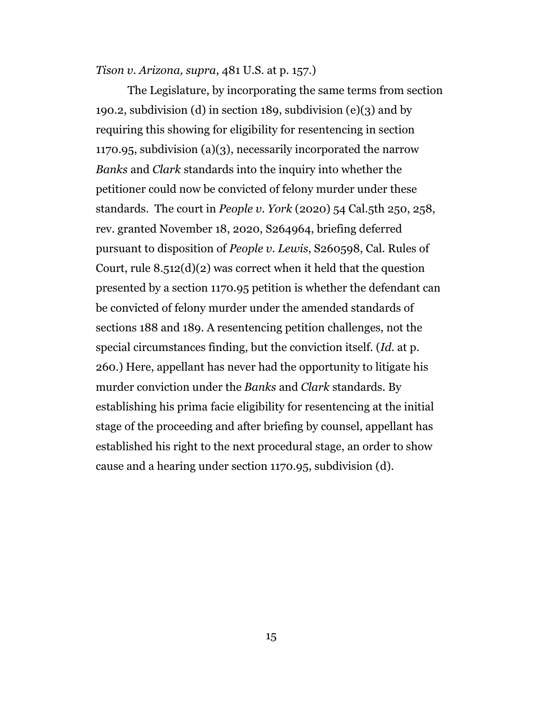*Tison v. Arizona, supra*, 481 U.S. at p. 157.)

The Legislature, by incorporating the same terms from section 190.2, subdivision (d) in section 189, subdivision  $(e)(3)$  and by requiring this showing for eligibility for resentencing in section 1170.95, subdivision (a)(3), necessarily incorporated the narrow *Banks* and *Clark* standards into the inquiry into whether the petitioner could now be convicted of felony murder under these standards. The court in *People v. York* (2020) 54 Cal.5th 250, 258, rev. granted November 18, 2020, S264964, briefing deferred pursuant to disposition of *People v. Lewis*, S260598, Cal. Rules of Court, rule  $8.512(d)(2)$  was correct when it held that the question presented by a section 1170.95 petition is whether the defendant can be convicted of felony murder under the amended standards of sections 188 and 189. A resentencing petition challenges, not the special circumstances finding, but the conviction itself. (*Id*. at p. 260.) Here, appellant has never had the opportunity to litigate his murder conviction under the *Banks* and *Clark* standards. By establishing his prima facie eligibility for resentencing at the initial stage of the proceeding and after briefing by counsel, appellant has established his right to the next procedural stage, an order to show cause and a hearing under section 1170.95, subdivision (d).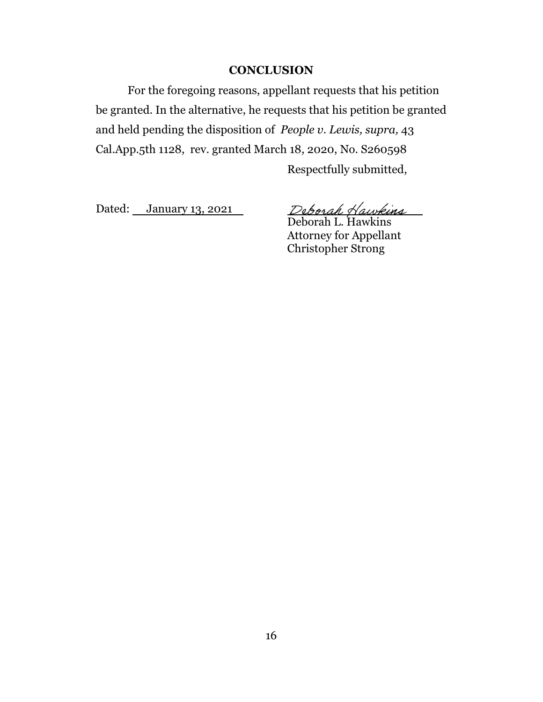#### **CONCLUSION**

For the foregoing reasons, appellant requests that his petition be granted. In the alternative, he requests that his petition be granted and held pending the disposition of *People v. Lewis, supra,* 43 Cal.App.5th 1128, rev. granted March 18, 2020, No. S260598

Respectfully submitted,

Dated: January 13, 2021

De*borah Hawkins*<br>Deborah L. Hawkins

Attorney for Appellant Christopher Strong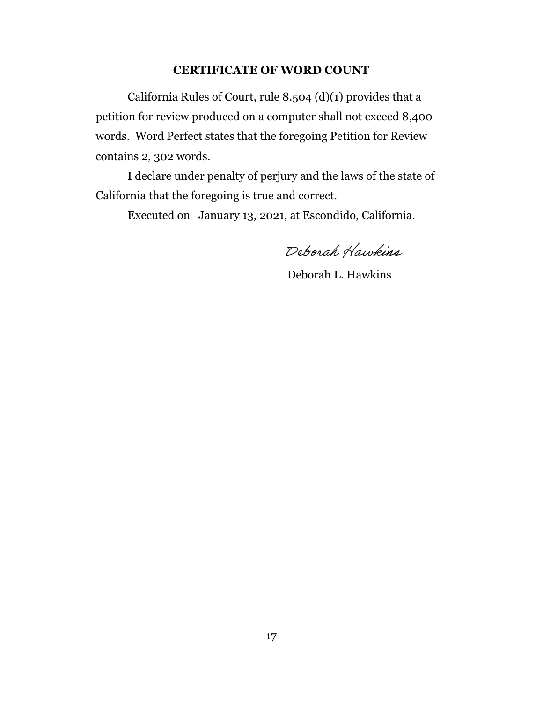#### **CERTIFICATE OF WORD COUNT**

California Rules of Court, rule 8.504 (d)(1) provides that a petition for review produced on a computer shall not exceed 8,400 words. Word Perfect states that the foregoing Petition for Review contains 2, 302 words.

I declare under penalty of perjury and the laws of the state of California that the foregoing is true and correct.

Executed on January 13, 2021, at Escondido, California.

Deborah Hawkins

Deborah L. Hawkins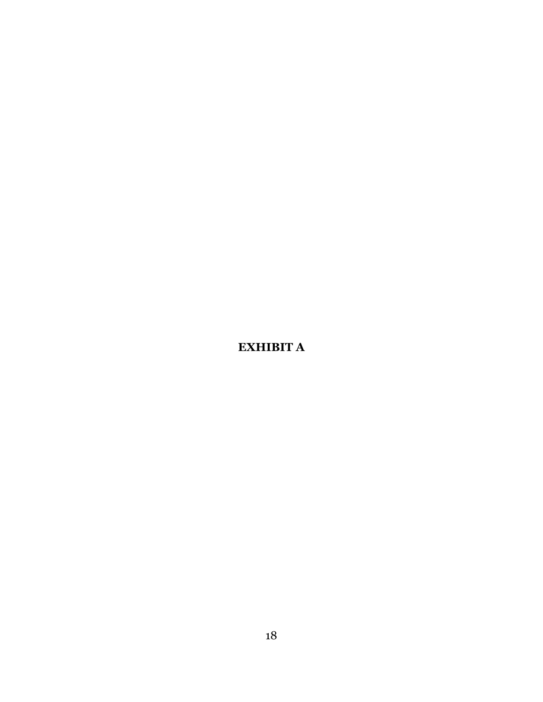**EXHIBIT A**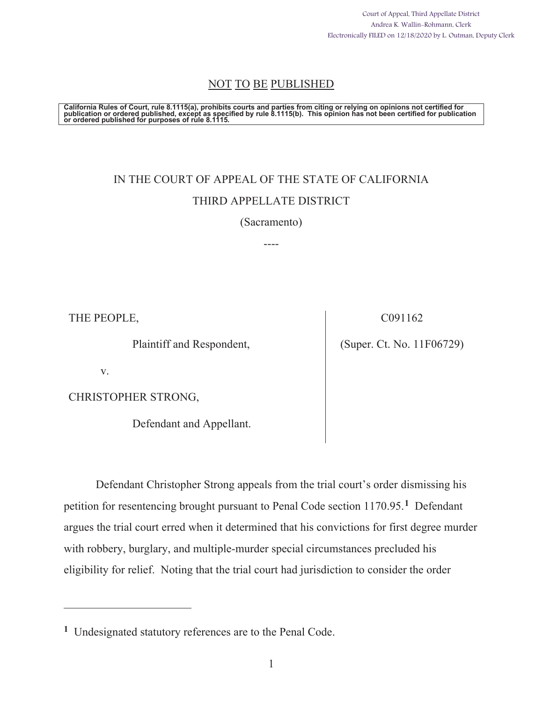Court of Appeal, Third Appellate District Andrea K. Wallin-Rohmann, Clerk Electronically FILED on 12/18/2020 by L. Outman, Deputy Clerk

## NOT TO BE PUBLISHED

California Rules of Court, rule 8.1115(a), prohibits courts and parties from citing or relying on opinions not certified for<br>publication or ordered published, except as specified by rule 8.1115(b). This opinion has not bee

# IN THE COURT OF APPEAL OF THE STATE OF CALIFORNIA THIRD APPELLATE DISTRICT

(Sacramento)

----

THE PEOPLE,

Plaintiff and Respondent,

C091162

(Super. Ct. No. 11F06729)

v.

CHRISTOPHER STRONG,

Defendant and Appellant.

Defendant Christopher Strong appeals from the trial court's order dismissing his petition for resentencing brought pursuant to Penal Code section 1170.95.**1** Defendant argues the trial court erred when it determined that his convictions for first degree murder with robbery, burglary, and multiple-murder special circumstances precluded his eligibility for relief. Noting that the trial court had jurisdiction to consider the order

**<sup>1</sup>** Undesignated statutory references are to the Penal Code.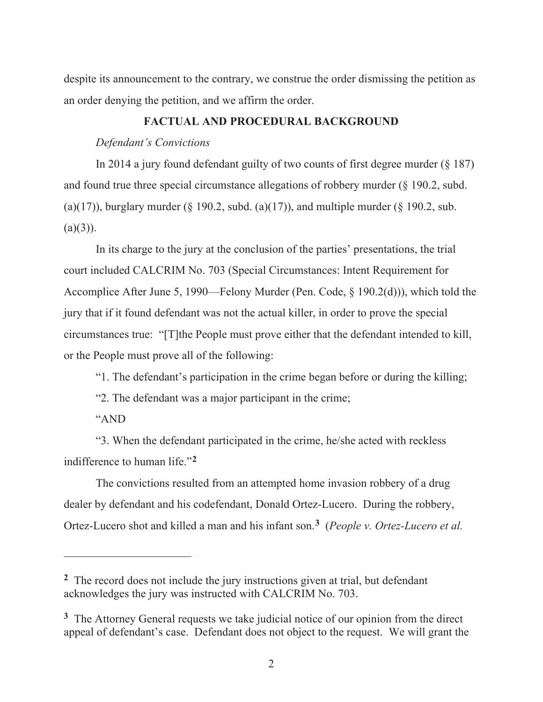despite its announcement to the contrary, we construe the order dismissing the petition as an order denying the petition, and we affirm the order.

#### **FACTUAL AND PROCEDURAL BACKGROUND**

#### *Defendant's Convictions*

In 2014 a jury found defendant guilty of two counts of first degree murder (§ 187) and found true three special circumstance allegations of robbery murder (§ 190.2, subd. (a)(17)), burglary murder ( $\S$  190.2, subd. (a)(17)), and multiple murder ( $\S$  190.2, sub.  $(a)(3)$ ).

In its charge to the jury at the conclusion of the parties' presentations, the trial court included CALCRIM No. 703 (Special Circumstances: Intent Requirement for Accomplice After June 5, 1990—Felony Murder (Pen. Code, § 190.2(d))), which told the jury that if it found defendant was not the actual killer, in order to prove the special circumstances true: "[T]the People must prove either that the defendant intended to kill, or the People must prove all of the following:

"1. The defendant's participation in the crime began before or during the killing;

"2. The defendant was a major participant in the crime;

"AND

"3. When the defendant participated in the crime, he/she acted with reckless indifference to human life."**<sup>2</sup>**

The convictions resulted from an attempted home invasion robbery of a drug dealer by defendant and his codefendant, Donald Ortez-Lucero. During the robbery, Ortez-Lucero shot and killed a man and his infant son.**3** (*People v. Ortez-Lucero et al.* 

**<sup>2</sup>** The record does not include the jury instructions given at trial, but defendant acknowledges the jury was instructed with CALCRIM No. 703.

**<sup>3</sup>** The Attorney General requests we take judicial notice of our opinion from the direct appeal of defendant's case. Defendant does not object to the request. We will grant the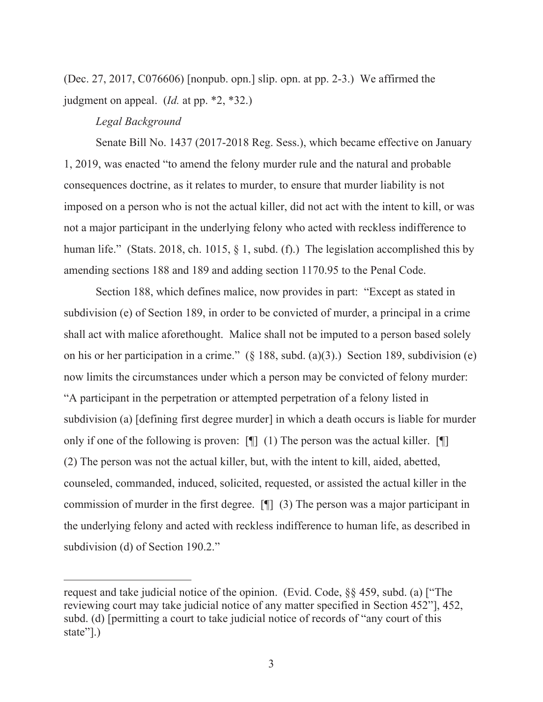(Dec. 27, 2017, C076606) [nonpub. opn.] slip. opn. at pp. 2-3.) We affirmed the judgment on appeal. (*Id.* at pp. \*2, \*32.)

#### *Legal Background*

Senate Bill No. 1437 (2017-2018 Reg. Sess.), which became effective on January 1, 2019, was enacted "to amend the felony murder rule and the natural and probable consequences doctrine, as it relates to murder, to ensure that murder liability is not imposed on a person who is not the actual killer, did not act with the intent to kill, or was not a major participant in the underlying felony who acted with reckless indifference to human life." (Stats. 2018, ch. 1015, § 1, subd. (f).) The legislation accomplished this by amending sections 188 and 189 and adding section 1170.95 to the Penal Code.

Section 188, which defines malice, now provides in part: "Except as stated in subdivision (e) of Section 189, in order to be convicted of murder, a principal in a crime shall act with malice aforethought. Malice shall not be imputed to a person based solely on his or her participation in a crime." (§ 188, subd. (a)(3).) Section 189, subdivision (e) now limits the circumstances under which a person may be convicted of felony murder: "A participant in the perpetration or attempted perpetration of a felony listed in subdivision (a) [defining first degree murder] in which a death occurs is liable for murder only if one of the following is proven: [¶] (1) The person was the actual killer. [¶] (2) The person was not the actual killer, but, with the intent to kill, aided, abetted, counseled, commanded, induced, solicited, requested, or assisted the actual killer in the commission of murder in the first degree. [¶] (3) The person was a major participant in the underlying felony and acted with reckless indifference to human life, as described in subdivision (d) of Section 190.2."

request and take judicial notice of the opinion. (Evid. Code, §§ 459, subd. (a) ["The reviewing court may take judicial notice of any matter specified in Section 452"], 452, subd. (d) [permitting a court to take judicial notice of records of "any court of this state"].)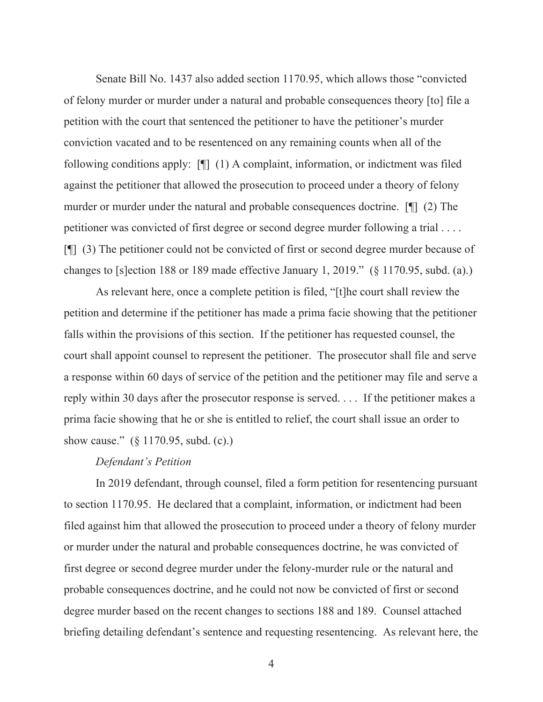Senate Bill No. 1437 also added section 1170.95, which allows those "convicted of felony murder or murder under a natural and probable consequences theory [to] file a petition with the court that sentenced the petitioner to have the petitioner's murder conviction vacated and to be resentenced on any remaining counts when all of the following conditions apply: [¶] (1) A complaint, information, or indictment was filed against the petitioner that allowed the prosecution to proceed under a theory of felony murder or murder under the natural and probable consequences doctrine. [¶] (2) The petitioner was convicted of first degree or second degree murder following a trial . . . . [¶] (3) The petitioner could not be convicted of first or second degree murder because of changes to [s]ection 188 or 189 made effective January 1, 2019." (§ 1170.95, subd. (a).)

As relevant here, once a complete petition is filed, "[t]he court shall review the petition and determine if the petitioner has made a prima facie showing that the petitioner falls within the provisions of this section. If the petitioner has requested counsel, the court shall appoint counsel to represent the petitioner. The prosecutor shall file and serve a response within 60 days of service of the petition and the petitioner may file and serve a reply within 30 days after the prosecutor response is served. . . . If the petitioner makes a prima facie showing that he or she is entitled to relief, the court shall issue an order to show cause." (§ 1170.95, subd. (c).)

#### *Defendant's Petition*

In 2019 defendant, through counsel, filed a form petition for resentencing pursuant to section 1170.95. He declared that a complaint, information, or indictment had been filed against him that allowed the prosecution to proceed under a theory of felony murder or murder under the natural and probable consequences doctrine, he was convicted of first degree or second degree murder under the felony-murder rule or the natural and probable consequences doctrine, and he could not now be convicted of first or second degree murder based on the recent changes to sections 188 and 189. Counsel attached briefing detailing defendant's sentence and requesting resentencing. As relevant here, the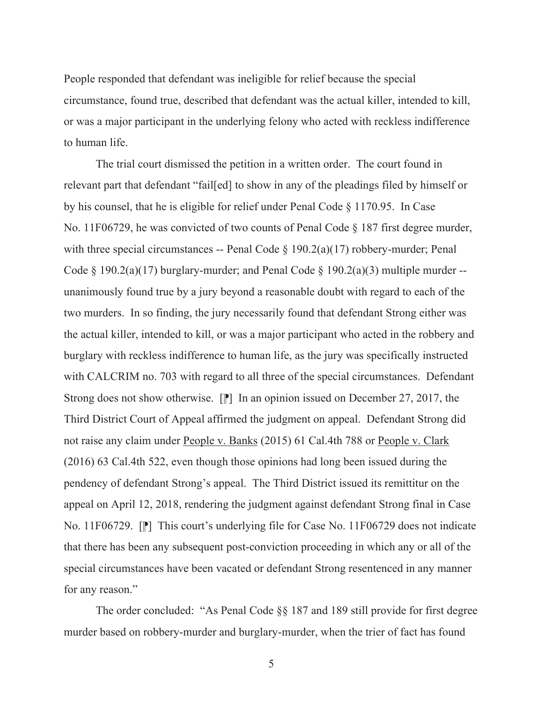People responded that defendant was ineligible for relief because the special circumstance, found true, described that defendant was the actual killer, intended to kill, or was a major participant in the underlying felony who acted with reckless indifference to human life.

The trial court dismissed the petition in a written order. The court found in relevant part that defendant "fail[ed] to show in any of the pleadings filed by himself or by his counsel, that he is eligible for relief under Penal Code § 1170.95. In Case No. 11F06729, he was convicted of two counts of Penal Code § 187 first degree murder, with three special circumstances -- Penal Code  $\S$  190.2(a)(17) robbery-murder; Penal Code § 190.2(a)(17) burglary-murder; and Penal Code § 190.2(a)(3) multiple murder -unanimously found true by a jury beyond a reasonable doubt with regard to each of the two murders. In so finding, the jury necessarily found that defendant Strong either was the actual killer, intended to kill, or was a major participant who acted in the robbery and burglary with reckless indifference to human life, as the jury was specifically instructed with CALCRIM no. 703 with regard to all three of the special circumstances. Defendant Strong does not show otherwise.  $[\mathbb{P}]$  In an opinion issued on December 27, 2017, the Third District Court of Appeal affirmed the judgment on appeal. Defendant Strong did not raise any claim under People v. Banks (2015) 61 Cal.4th 788 or People v. Clark (2016) 63 Cal.4th 522, even though those opinions had long been issued during the pendency of defendant Strong's appeal. The Third District issued its remittitur on the appeal on April 12, 2018, rendering the judgment against defendant Strong final in Case No. 11F06729.  $\lceil \mathbb{P} \rceil$  This court's underlying file for Case No. 11F06729 does not indicate that there has been any subsequent post-conviction proceeding in which any or all of the special circumstances have been vacated or defendant Strong resentenced in any manner for any reason."

The order concluded: "As Penal Code §§ 187 and 189 still provide for first degree murder based on robbery-murder and burglary-murder, when the trier of fact has found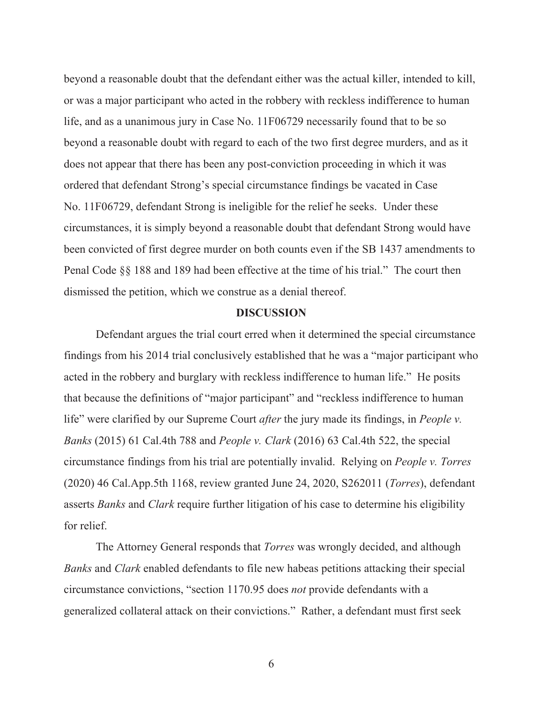beyond a reasonable doubt that the defendant either was the actual killer, intended to kill, or was a major participant who acted in the robbery with reckless indifference to human life, and as a unanimous jury in Case No. 11F06729 necessarily found that to be so beyond a reasonable doubt with regard to each of the two first degree murders, and as it does not appear that there has been any post-conviction proceeding in which it was ordered that defendant Strong's special circumstance findings be vacated in Case No. 11F06729, defendant Strong is ineligible for the relief he seeks. Under these circumstances, it is simply beyond a reasonable doubt that defendant Strong would have been convicted of first degree murder on both counts even if the SB 1437 amendments to Penal Code §§ 188 and 189 had been effective at the time of his trial." The court then dismissed the petition, which we construe as a denial thereof.

#### **DISCUSSION**

Defendant argues the trial court erred when it determined the special circumstance findings from his 2014 trial conclusively established that he was a "major participant who acted in the robbery and burglary with reckless indifference to human life." He posits that because the definitions of "major participant" and "reckless indifference to human life" were clarified by our Supreme Court *after* the jury made its findings, in *People v. Banks* (2015) 61 Cal.4th 788 and *People v. Clark* (2016) 63 Cal.4th 522, the special circumstance findings from his trial are potentially invalid. Relying on *People v. Torres* (2020) 46 Cal.App.5th 1168, review granted June 24, 2020, S262011 (*Torres*), defendant asserts *Banks* and *Clark* require further litigation of his case to determine his eligibility for relief.

The Attorney General responds that *Torres* was wrongly decided, and although *Banks* and *Clark* enabled defendants to file new habeas petitions attacking their special circumstance convictions, "section 1170.95 does *not* provide defendants with a generalized collateral attack on their convictions." Rather, a defendant must first seek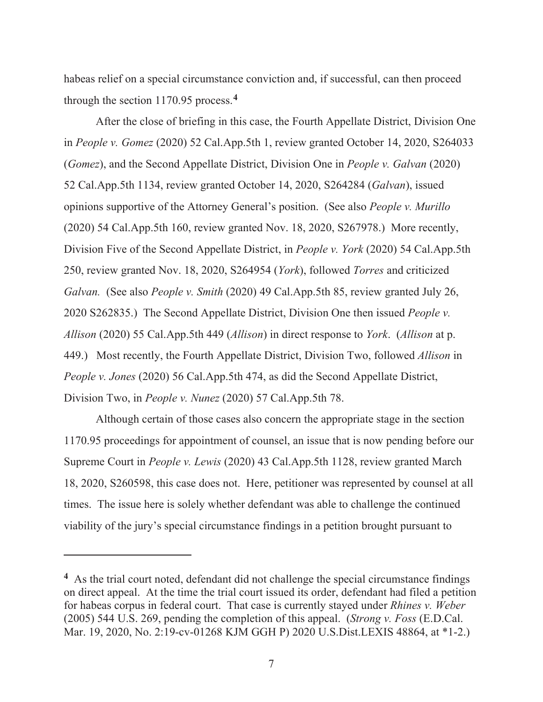habeas relief on a special circumstance conviction and, if successful, can then proceed through the section 1170.95 process.**<sup>4</sup>**

After the close of briefing in this case, the Fourth Appellate District, Division One in *People v. Gomez* (2020) 52 Cal.App.5th 1, review granted October 14, 2020, S264033 (*Gomez*), and the Second Appellate District, Division One in *People v. Galvan* (2020) 52 Cal.App.5th 1134, review granted October 14, 2020, S264284 (*Galvan*), issued opinions supportive of the Attorney General's position. (See also *People v. Murillo* (2020) 54 Cal.App.5th 160, review granted Nov. 18, 2020, S267978.) More recently, Division Five of the Second Appellate District, in *People v. York* (2020) 54 Cal.App.5th 250, review granted Nov. 18, 2020, S264954 (*York*), followed *Torres* and criticized *Galvan.* (See also *People v. Smith* (2020) 49 Cal.App.5th 85, review granted July 26, 2020 S262835.) The Second Appellate District, Division One then issued *People v. Allison* (2020) 55 Cal.App.5th 449 (*Allison*) in direct response to *York*. (*Allison* at p. 449.) Most recently, the Fourth Appellate District, Division Two, followed *Allison* in *People v. Jones* (2020) 56 Cal.App.5th 474, as did the Second Appellate District, Division Two, in *People v. Nunez* (2020) 57 Cal.App.5th 78.

Although certain of those cases also concern the appropriate stage in the section 1170.95 proceedings for appointment of counsel, an issue that is now pending before our Supreme Court in *People v. Lewis* (2020) 43 Cal.App.5th 1128, review granted March 18, 2020, S260598, this case does not. Here, petitioner was represented by counsel at all times. The issue here is solely whether defendant was able to challenge the continued viability of the jury's special circumstance findings in a petition brought pursuant to

**<sup>4</sup>** As the trial court noted, defendant did not challenge the special circumstance findings on direct appeal. At the time the trial court issued its order, defendant had filed a petition for habeas corpus in federal court. That case is currently stayed under *Rhines v. Weber*  (2005) 544 U.S. 269, pending the completion of this appeal. (*Strong v. Foss* (E.D.Cal. Mar. 19, 2020, No. 2:19-cv-01268 KJM GGH P) 2020 U.S.Dist.LEXIS 48864, at \*1-2.)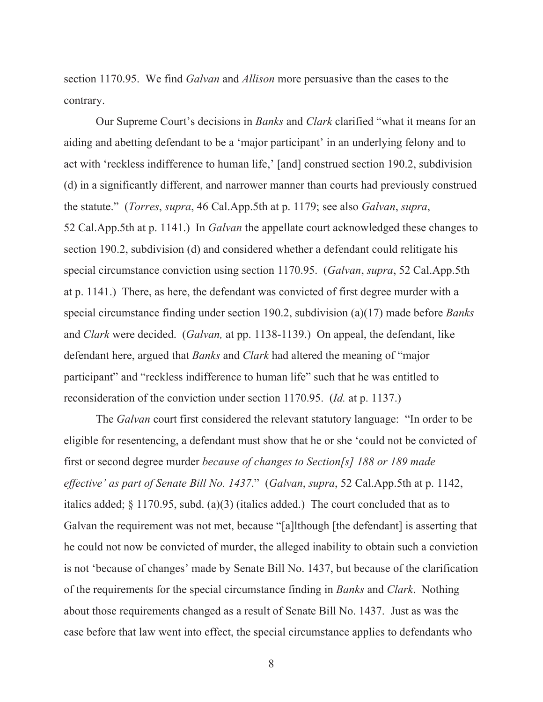section 1170.95. We find *Galvan* and *Allison* more persuasive than the cases to the contrary.

Our Supreme Court's decisions in *Banks* and *Clark* clarified "what it means for an aiding and abetting defendant to be a 'major participant' in an underlying felony and to act with 'reckless indifference to human life,' [and] construed section 190.2, subdivision (d) in a significantly different, and narrower manner than courts had previously construed the statute." (*Torres*, *supra*, 46 Cal.App.5th at p. 1179; see also *Galvan*, *supra*, 52 Cal.App.5th at p. 1141.) In *Galvan* the appellate court acknowledged these changes to section 190.2, subdivision (d) and considered whether a defendant could relitigate his special circumstance conviction using section 1170.95. (*Galvan*, *supra*, 52 Cal.App.5th at p. 1141.) There, as here, the defendant was convicted of first degree murder with a special circumstance finding under section 190.2, subdivision (a)(17) made before *Banks* and *Clark* were decided. (*Galvan,* at pp. 1138-1139.) On appeal, the defendant, like defendant here, argued that *Banks* and *Clark* had altered the meaning of "major participant" and "reckless indifference to human life" such that he was entitled to reconsideration of the conviction under section 1170.95. (*Id.* at p. 1137.)

The *Galvan* court first considered the relevant statutory language: "In order to be eligible for resentencing, a defendant must show that he or she 'could not be convicted of first or second degree murder *because of changes to Section[s] 188 or 189 made effective' as part of Senate Bill No. 1437*." (*Galvan*, *supra*, 52 Cal.App.5th at p. 1142, italics added; § 1170.95, subd. (a)(3) (italics added.) The court concluded that as to Galvan the requirement was not met, because "[a]lthough [the defendant] is asserting that he could not now be convicted of murder, the alleged inability to obtain such a conviction is not 'because of changes' made by Senate Bill No. 1437, but because of the clarification of the requirements for the special circumstance finding in *Banks* and *Clark*. Nothing about those requirements changed as a result of Senate Bill No. 1437. Just as was the case before that law went into effect, the special circumstance applies to defendants who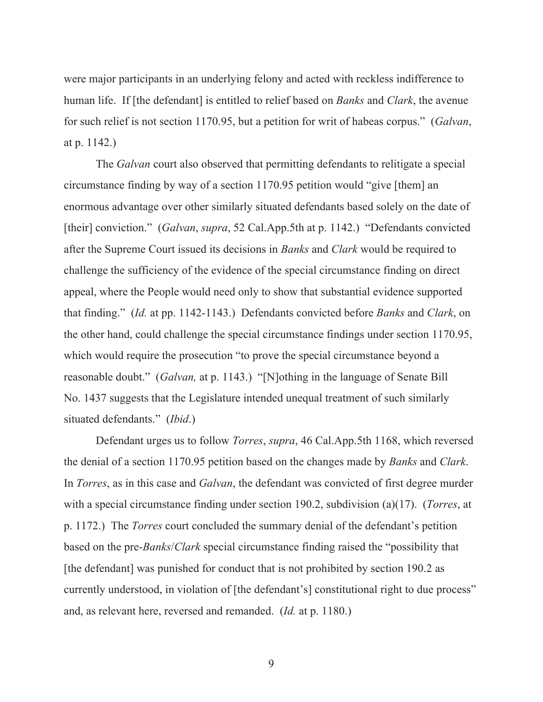were major participants in an underlying felony and acted with reckless indifference to human life. If [the defendant] is entitled to relief based on *Banks* and *Clark*, the avenue for such relief is not section 1170.95, but a petition for writ of habeas corpus." (*Galvan*, at p. 1142.)

The *Galvan* court also observed that permitting defendants to relitigate a special circumstance finding by way of a section 1170.95 petition would "give [them] an enormous advantage over other similarly situated defendants based solely on the date of [their] conviction." (*Galvan*, *supra*, 52 Cal.App.5th at p. 1142.) "Defendants convicted after the Supreme Court issued its decisions in *Banks* and *Clark* would be required to challenge the sufficiency of the evidence of the special circumstance finding on direct appeal, where the People would need only to show that substantial evidence supported that finding." (*Id.* at pp. 1142-1143.) Defendants convicted before *Banks* and *Clark*, on the other hand, could challenge the special circumstance findings under section 1170.95, which would require the prosecution "to prove the special circumstance beyond a reasonable doubt." (*Galvan,* at p. 1143.) "[N]othing in the language of Senate Bill No. 1437 suggests that the Legislature intended unequal treatment of such similarly situated defendants." (*Ibid*.)

Defendant urges us to follow *Torres*, *supra*, 46 Cal.App.5th 1168, which reversed the denial of a section 1170.95 petition based on the changes made by *Banks* and *Clark*. In *Torres*, as in this case and *Galvan*, the defendant was convicted of first degree murder with a special circumstance finding under section 190.2, subdivision (a)(17). (*Torres*, at p. 1172.) The *Torres* court concluded the summary denial of the defendant's petition based on the pre-*Banks*/*Clark* special circumstance finding raised the "possibility that [the defendant] was punished for conduct that is not prohibited by section 190.2 as currently understood, in violation of [the defendant's] constitutional right to due process" and, as relevant here, reversed and remanded. (*Id.* at p. 1180.)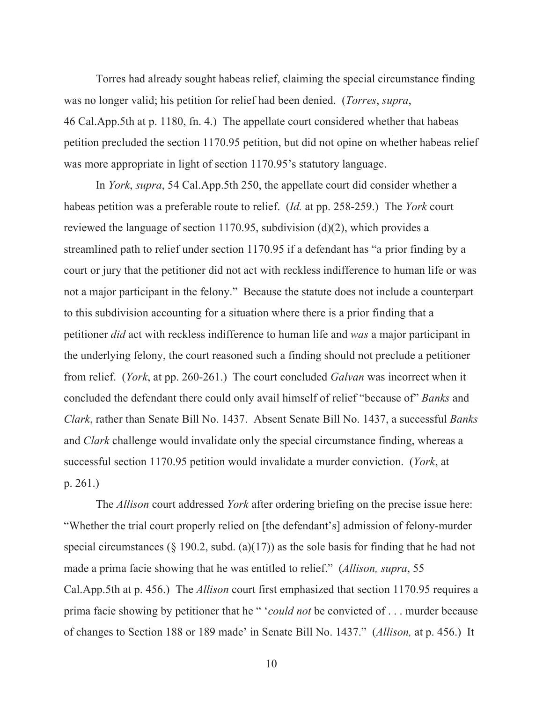Torres had already sought habeas relief, claiming the special circumstance finding was no longer valid; his petition for relief had been denied. (*Torres*, *supra*, 46 Cal.App.5th at p. 1180, fn. 4.) The appellate court considered whether that habeas petition precluded the section 1170.95 petition, but did not opine on whether habeas relief was more appropriate in light of section 1170.95's statutory language.

In *York*, *supra*, 54 Cal.App.5th 250, the appellate court did consider whether a habeas petition was a preferable route to relief. (*Id.* at pp. 258-259.) The *York* court reviewed the language of section 1170.95, subdivision (d)(2), which provides a streamlined path to relief under section 1170.95 if a defendant has "a prior finding by a court or jury that the petitioner did not act with reckless indifference to human life or was not a major participant in the felony." Because the statute does not include a counterpart to this subdivision accounting for a situation where there is a prior finding that a petitioner *did* act with reckless indifference to human life and *was* a major participant in the underlying felony, the court reasoned such a finding should not preclude a petitioner from relief. (*York*, at pp. 260-261.) The court concluded *Galvan* was incorrect when it concluded the defendant there could only avail himself of relief "because of" *Banks* and *Clark*, rather than Senate Bill No. 1437. Absent Senate Bill No. 1437, a successful *Banks*  and *Clark* challenge would invalidate only the special circumstance finding, whereas a successful section 1170.95 petition would invalidate a murder conviction. (*York*, at p. 261.)

The *Allison* court addressed *York* after ordering briefing on the precise issue here: "Whether the trial court properly relied on [the defendant's] admission of felony-murder special circumstances ( $\S$  190.2, subd. (a)(17)) as the sole basis for finding that he had not made a prima facie showing that he was entitled to relief." (*Allison, supra*, 55 Cal.App.5th at p. 456.) The *Allison* court first emphasized that section 1170.95 requires a prima facie showing by petitioner that he " '*could not* be convicted of . . . murder because of changes to Section 188 or 189 made' in Senate Bill No. 1437." (*Allison,* at p. 456.) It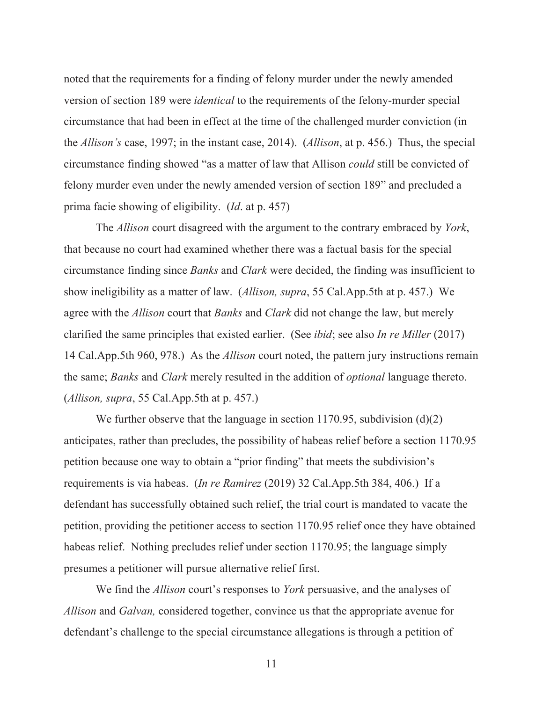noted that the requirements for a finding of felony murder under the newly amended version of section 189 were *identical* to the requirements of the felony-murder special circumstance that had been in effect at the time of the challenged murder conviction (in the *Allison's* case, 1997; in the instant case, 2014). (*Allison*, at p. 456.) Thus, the special circumstance finding showed "as a matter of law that Allison *could* still be convicted of felony murder even under the newly amended version of section 189" and precluded a prima facie showing of eligibility. (*Id*. at p. 457)

The *Allison* court disagreed with the argument to the contrary embraced by *York*, that because no court had examined whether there was a factual basis for the special circumstance finding since *Banks* and *Clark* were decided, the finding was insufficient to show ineligibility as a matter of law. (*Allison, supra*, 55 Cal.App.5th at p. 457.) We agree with the *Allison* court that *Banks* and *Clark* did not change the law, but merely clarified the same principles that existed earlier. (See *ibid*; see also *In re Miller* (2017) 14 Cal.App.5th 960, 978.) As the *Allison* court noted, the pattern jury instructions remain the same; *Banks* and *Clark* merely resulted in the addition of *optional* language thereto. (*Allison, supra*, 55 Cal.App.5th at p. 457.)

We further observe that the language in section 1170.95, subdivision (d)(2) anticipates, rather than precludes, the possibility of habeas relief before a section 1170.95 petition because one way to obtain a "prior finding" that meets the subdivision's requirements is via habeas. (*In re Ramirez* (2019) 32 Cal.App.5th 384, 406.) If a defendant has successfully obtained such relief, the trial court is mandated to vacate the petition, providing the petitioner access to section 1170.95 relief once they have obtained habeas relief. Nothing precludes relief under section 1170.95; the language simply presumes a petitioner will pursue alternative relief first.

We find the *Allison* court's responses to *York* persuasive, and the analyses of *Allison* and *Galvan,* considered together, convince us that the appropriate avenue for defendant's challenge to the special circumstance allegations is through a petition of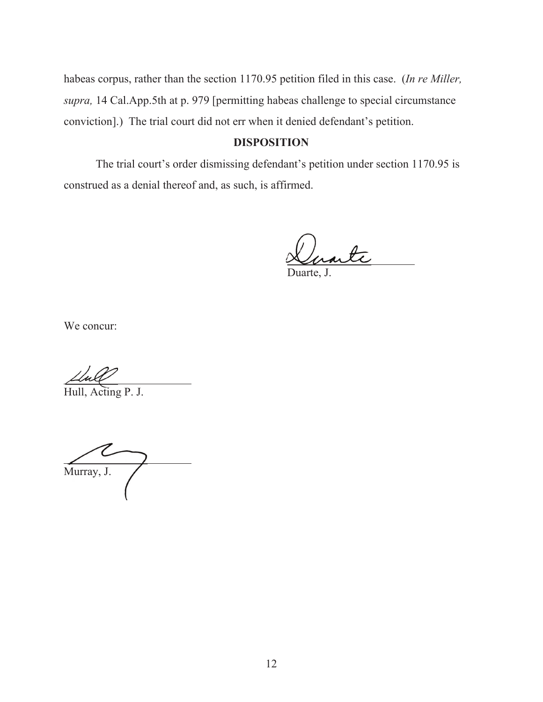habeas corpus, rather than the section 1170.95 petition filed in this case. (*In re Miller, supra,* 14 Cal.App.5th at p. 979 [permitting habeas challenge to special circumstance conviction].) The trial court did not err when it denied defendant's petition.

## **DISPOSITION**

The trial court's order dismissing defendant's petition under section 1170.95 is construed as a denial thereof and, as such, is affirmed.

Lorante

Duarte, J.

We concur:

 $\overline{A}$ 

Hull, Acting P. J.

 $\overline{a}$ Murray, J.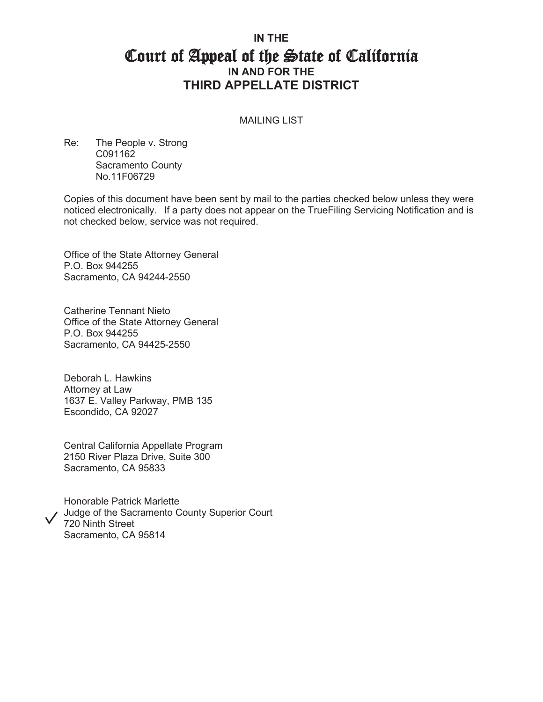# **IN THE**  Court of Appeal of the State of California **IN AND FOR THE THIRD APPELLATE DISTRICT**

#### MAILING LIST

Re: The People v. Strong C091162 Sacramento County No.11F06729

Copies of this document have been sent by mail to the parties checked below unless they were noticed electronically. If a party does not appear on the TrueFiling Servicing Notification and is not checked below, service was not required.

Office of the State Attorney General P.O. Box 944255 Sacramento, CA 94244-2550

Catherine Tennant Nieto Office of the State Attorney General P.O. Box 944255 Sacramento, CA 94425-2550

Deborah L. Hawkins Attorney at Law 1637 E. Valley Parkway, PMB 135 Escondido, CA 92027

Central California Appellate Program 2150 River Plaza Drive, Suite 300 Sacramento, CA 95833

Honorable Patrick Marlette Judge of the Sacramento County Superior Court 720 Ninth Street Sacramento, CA 95814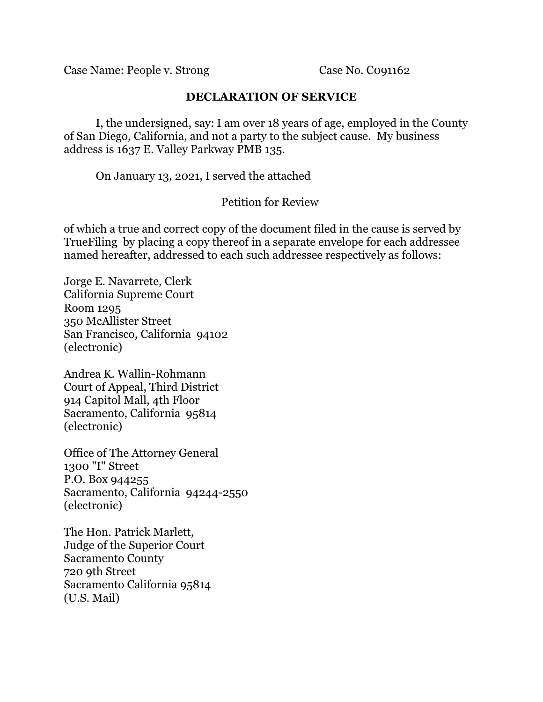Case Name: People v. Strong Case No. Co91162

### **DECLARATION OF SERVICE**

I, the undersigned, say: I am over 18 years of age, employed in the County of San Diego, California, and not a party to the subject cause. My business address is 1637 E. Valley Parkway PMB 135.

On January 13, 2021, I served the attached

## Petition for Review

of which a true and correct copy of the document filed in the cause is served by TrueFiling by placing a copy thereof in a separate envelope for each addressee named hereafter, addressed to each such addressee respectively as follows:

Jorge E. Navarrete, Clerk California Supreme Court Room 1295 350 McAllister Street San Francisco, California 94102 (electronic)

Andrea K. Wallin-Rohmann Court of Appeal, Third District 914 Capitol Mall, 4th Floor Sacramento, California 95814 (electronic)

Office of The Attorney General 1300 "I" Street P.O. Box 944255 Sacramento, California 94244-2550 (electronic)

The Hon. Patrick Marlett, Judge of the Superior Court Sacramento County 720 9th Street Sacramento California 95814 (U.S. Mail)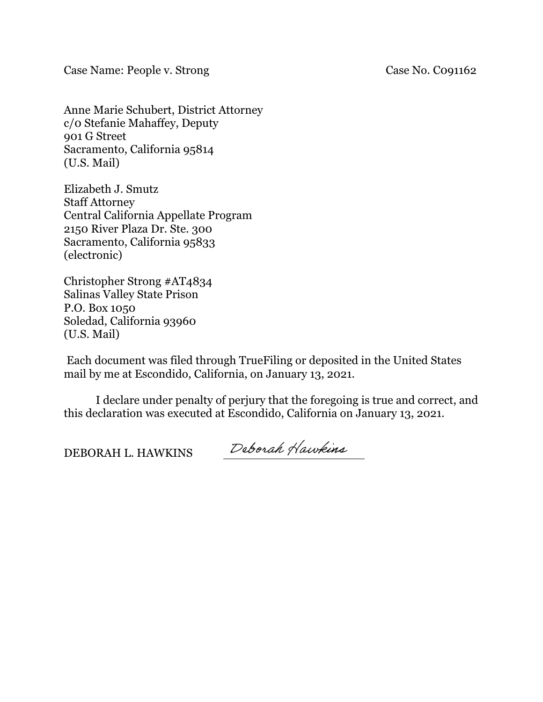Case Name: People v. Strong Case No. Co91162

Anne Marie Schubert, District Attorney c/0 Stefanie Mahaffey, Deputy 901 G Street Sacramento, California 95814 (U.S. Mail)

Elizabeth J. Smutz Staff Attorney Central California Appellate Program 2150 River Plaza Dr. Ste. 300 Sacramento, California 95833 (electronic)

Christopher Strong #AT4834 Salinas Valley State Prison P.O. Box 1050 Soledad, California 93960 (U.S. Mail)

 Each document was filed through TrueFiling or deposited in the United States mail by me at Escondido, California, on January 13, 2021.

I declare under penalty of perjury that the foregoing is true and correct, and this declaration was executed at Escondido, California on January 13, 2021.

DEBORAH L. HAWKINS

Deborah Hawkins